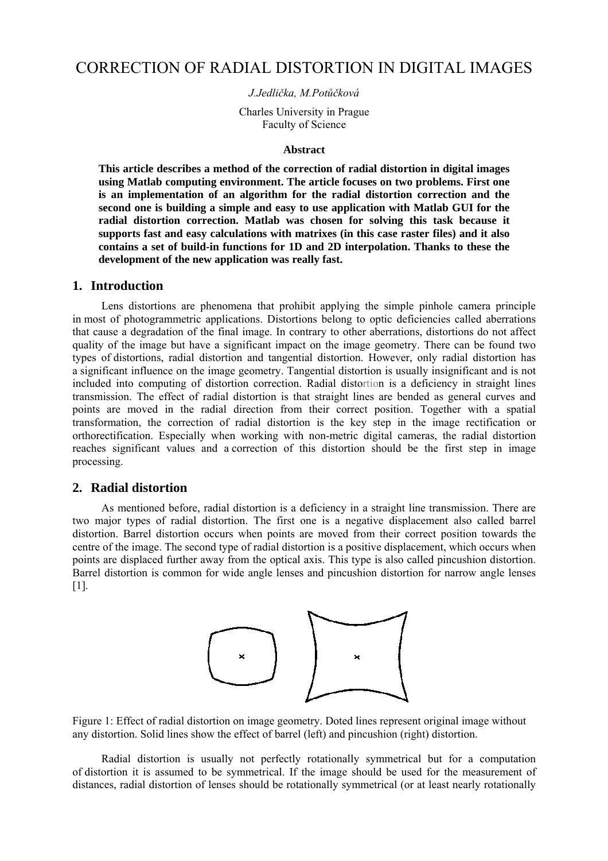# CORRECTION OF RADIAL DISTORTION IN DIGITAL IMAGES

#### *J.Jedlička, M.Potůčková*

Charles University in Prague Faculty of Science

#### **Abstract**

**This article describes a method of the correction of radial distortion in digital images using Matlab computing environment. The article focuses on two problems. First one is an implementation of an algorithm for the radial distortion correction and the second one is building a simple and easy to use application with Matlab GUI for the radial distortion correction. Matlab was chosen for solving this task because it supports fast and easy calculations with matrixes (in this case raster files) and it also contains a set of build-in functions for 1D and 2D interpolation. Thanks to these the development of the new application was really fast.** 

#### **1. Introduction**

Lens distortions are phenomena that prohibit applying the simple pinhole camera principle in most of photogrammetric applications. Distortions belong to optic deficiencies called aberrations that cause a degradation of the final image. In contrary to other aberrations, distortions do not affect quality of the image but have a significant impact on the image geometry. There can be found two types of distortions, radial distortion and tangential distortion. However, only radial distortion has a significant influence on the image geometry. Tangential distortion is usually insignificant and is not included into computing of distortion correction. Radial distortion is a deficiency in straight lines transmission. The effect of radial distortion is that straight lines are bended as general curves and points are moved in the radial direction from their correct position. Together with a spatial transformation, the correction of radial distortion is the key step in the image rectification or orthorectification. Especially when working with non-metric digital cameras, the radial distortion reaches significant values and a correction of this distortion should be the first step in image processing.

#### **2. Radial distortion**

As mentioned before, radial distortion is a deficiency in a straight line transmission. There are two major types of radial distortion. The first one is a negative displacement also called barrel distortion. Barrel distortion occurs when points are moved from their correct position towards the centre of the image. The second type of radial distortion is a positive displacement, which occurs when points are displaced further away from the optical axis. This type is also called pincushion distortion. Barrel distortion is common for wide angle lenses and pincushion distortion for narrow angle lenses  $[1]$ .



Figure 1: Effect of radial distortion on image geometry. Doted lines represent original image without any distortion. Solid lines show the effect of barrel (left) and pincushion (right) distortion.

Radial distortion is usually not perfectly rotationally symmetrical but for a computation of distortion it is assumed to be symmetrical. If the image should be used for the measurement of distances, radial distortion of lenses should be rotationally symmetrical (or at least nearly rotationally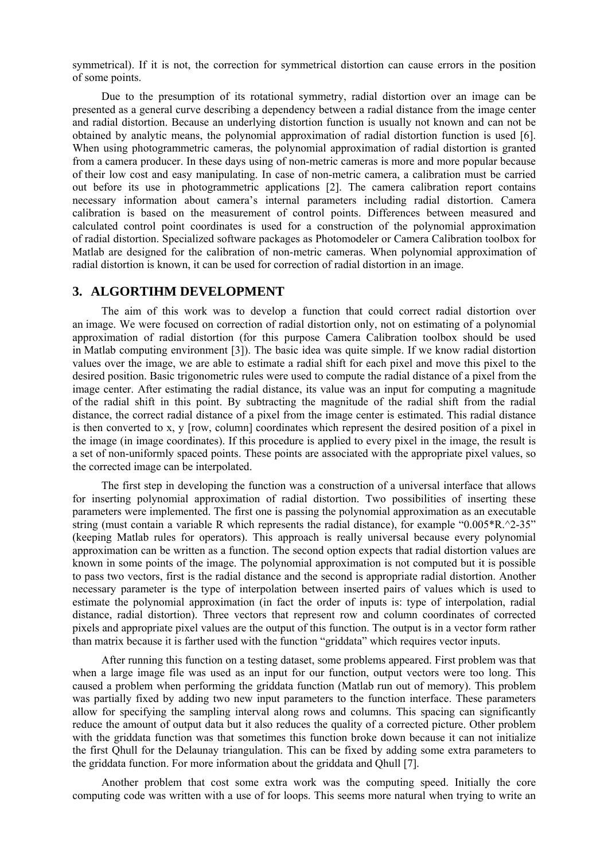symmetrical). If it is not, the correction for symmetrical distortion can cause errors in the position of some points.

Due to the presumption of its rotational symmetry, radial distortion over an image can be presented as a general curve describing a dependency between a radial distance from the image center and radial distortion. Because an underlying distortion function is usually not known and can not be obtained by analytic means, the polynomial approximation of radial distortion function is used [6]. When using photogrammetric cameras, the polynomial approximation of radial distortion is granted from a camera producer. In these days using of non-metric cameras is more and more popular because of their low cost and easy manipulating. In case of non-metric camera, a calibration must be carried out before its use in photogrammetric applications [2]. The camera calibration report contains necessary information about camera's internal parameters including radial distortion. Camera calibration is based on the measurement of control points. Differences between measured and calculated control point coordinates is used for a construction of the polynomial approximation of radial distortion. Specialized software packages as Photomodeler or Camera Calibration toolbox for Matlab are designed for the calibration of non-metric cameras. When polynomial approximation of radial distortion is known, it can be used for correction of radial distortion in an image.

#### **3. ALGORTIHM DEVELOPMENT**

The aim of this work was to develop a function that could correct radial distortion over an image. We were focused on correction of radial distortion only, not on estimating of a polynomial approximation of radial distortion (for this purpose Camera Calibration toolbox should be used in Matlab computing environment [3]). The basic idea was quite simple. If we know radial distortion values over the image, we are able to estimate a radial shift for each pixel and move this pixel to the desired position. Basic trigonometric rules were used to compute the radial distance of a pixel from the image center. After estimating the radial distance, its value was an input for computing a magnitude of the radial shift in this point. By subtracting the magnitude of the radial shift from the radial distance, the correct radial distance of a pixel from the image center is estimated. This radial distance is then converted to x, y [row, column] coordinates which represent the desired position of a pixel in the image (in image coordinates). If this procedure is applied to every pixel in the image, the result is a set of non-uniformly spaced points. These points are associated with the appropriate pixel values, so the corrected image can be interpolated.

The first step in developing the function was a construction of a universal interface that allows for inserting polynomial approximation of radial distortion. Two possibilities of inserting these parameters were implemented. The first one is passing the polynomial approximation as an executable string (must contain a variable R which represents the radial distance), for example "0.005\*R.^2-35" (keeping Matlab rules for operators). This approach is really universal because every polynomial approximation can be written as a function. The second option expects that radial distortion values are known in some points of the image. The polynomial approximation is not computed but it is possible to pass two vectors, first is the radial distance and the second is appropriate radial distortion. Another necessary parameter is the type of interpolation between inserted pairs of values which is used to estimate the polynomial approximation (in fact the order of inputs is: type of interpolation, radial distance, radial distortion). Three vectors that represent row and column coordinates of corrected pixels and appropriate pixel values are the output of this function. The output is in a vector form rather than matrix because it is farther used with the function "griddata" which requires vector inputs.

After running this function on a testing dataset, some problems appeared. First problem was that when a large image file was used as an input for our function, output vectors were too long. This caused a problem when performing the griddata function (Matlab run out of memory). This problem was partially fixed by adding two new input parameters to the function interface. These parameters allow for specifying the sampling interval along rows and columns. This spacing can significantly reduce the amount of output data but it also reduces the quality of a corrected picture. Other problem with the griddata function was that sometimes this function broke down because it can not initialize the first Qhull for the Delaunay triangulation. This can be fixed by adding some extra parameters to the griddata function. For more information about the griddata and Qhull [7].

Another problem that cost some extra work was the computing speed. Initially the core computing code was written with a use of for loops. This seems more natural when trying to write an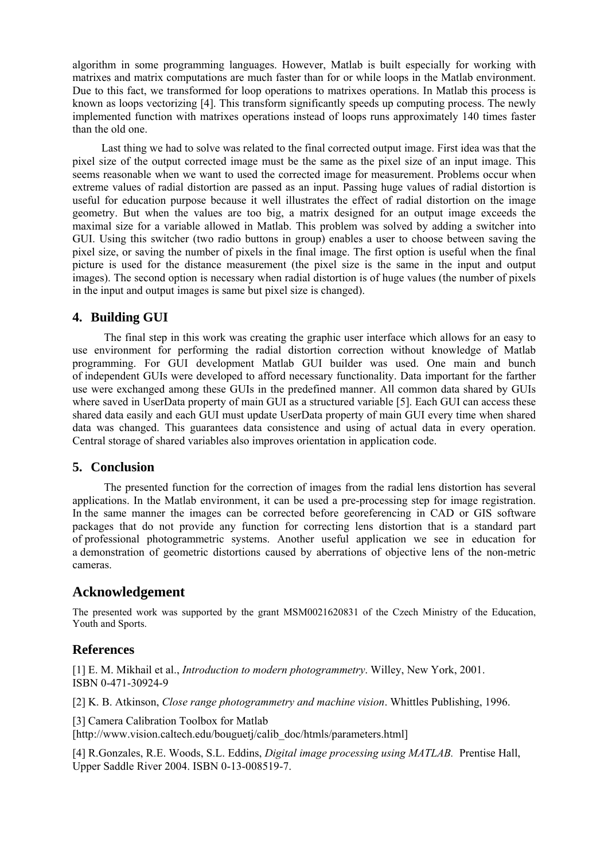algorithm in some programming languages. However, Matlab is built especially for working with matrixes and matrix computations are much faster than for or while loops in the Matlab environment. Due to this fact, we transformed for loop operations to matrixes operations. In Matlab this process is known as loops vectorizing [4]. This transform significantly speeds up computing process. The newly implemented function with matrixes operations instead of loops runs approximately 140 times faster than the old one.

Last thing we had to solve was related to the final corrected output image. First idea was that the pixel size of the output corrected image must be the same as the pixel size of an input image. This seems reasonable when we want to used the corrected image for measurement. Problems occur when extreme values of radial distortion are passed as an input. Passing huge values of radial distortion is useful for education purpose because it well illustrates the effect of radial distortion on the image geometry. But when the values are too big, a matrix designed for an output image exceeds the maximal size for a variable allowed in Matlab. This problem was solved by adding a switcher into GUI. Using this switcher (two radio buttons in group) enables a user to choose between saving the pixel size, or saving the number of pixels in the final image. The first option is useful when the final picture is used for the distance measurement (the pixel size is the same in the input and output images). The second option is necessary when radial distortion is of huge values (the number of pixels in the input and output images is same but pixel size is changed).

### **4. Building GUI**

The final step in this work was creating the graphic user interface which allows for an easy to use environment for performing the radial distortion correction without knowledge of Matlab programming. For GUI development Matlab GUI builder was used. One main and bunch of independent GUIs were developed to afford necessary functionality. Data important for the farther use were exchanged among these GUIs in the predefined manner. All common data shared by GUIs where saved in UserData property of main GUI as a structured variable [5]. Each GUI can access these shared data easily and each GUI must update UserData property of main GUI every time when shared data was changed. This guarantees data consistence and using of actual data in every operation. Central storage of shared variables also improves orientation in application code.

### **5. Conclusion**

The presented function for the correction of images from the radial lens distortion has several applications. In the Matlab environment, it can be used a pre-processing step for image registration. In the same manner the images can be corrected before georeferencing in CAD or GIS software packages that do not provide any function for correcting lens distortion that is a standard part of professional photogrammetric systems. Another useful application we see in education for a demonstration of geometric distortions caused by aberrations of objective lens of the non-metric cameras.

### **Acknowledgement**

The presented work was supported by the grant MSM0021620831 of the Czech Ministry of the Education, Youth and Sports.

### **References**

[1] E. M. Mikhail et al., *Introduction to modern photogrammetry*. Willey, New York, 2001. ISBN 0-471-30924-9

[2] K. B. Atkinson, *Close range photogrammetry and machine vision*. Whittles Publishing, 1996.

[3] Camera Calibration Toolbox for Matlab

[http://www.vision.caltech.edu/bouguetj/calib\_doc/htmls/parameters.html]

[4] R.Gonzales, R.E. Woods, S.L. Eddins, *Digital image processing using MATLAB.* Prentise Hall, Upper Saddle River 2004. ISBN 0-13-008519-7.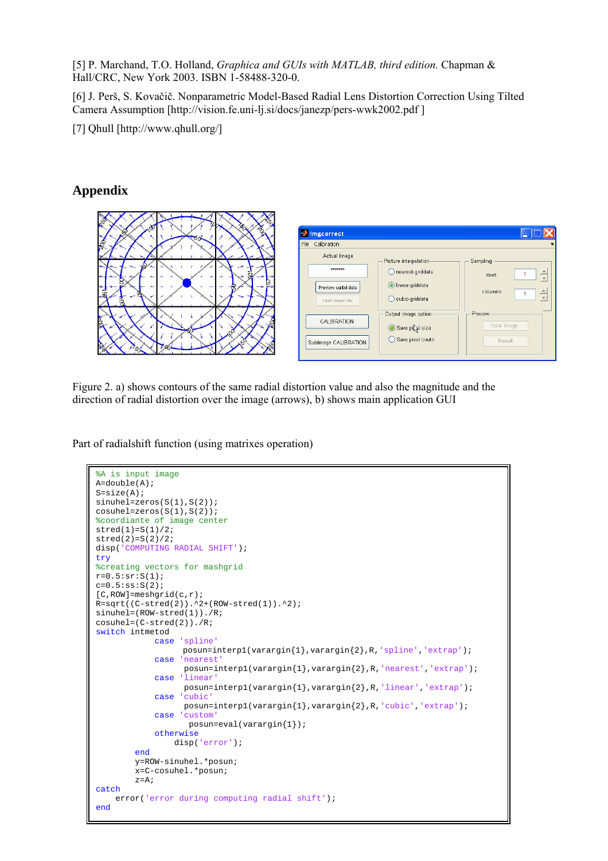[5] P. Marchand, T.O. Holland, *Graphica and GUIs with MATLAB, third edition.* Chapman & Hall/CRC, New York 2003. ISBN 1-58488-320-0.

[6] J. Perš, S. Kovačič. Nonparametric Model-Based Radial Lens Distortion Correction Using Tilted Camera Assumption [http://vision.fe.uni-lj.si/docs/janezp/pers-wwk2002.pdf ]

[7] Qhull [http://www.qhull.org/]

## **Appendix**



Figure 2. a) shows contours of the same radial distortion value and also the magnitude and the direction of radial distortion over the image (arrows), b) shows main application GUI

Part of radialshift function (using matrixes operation)

```
%A is input image
A = \text{double}(A);
S=size(A); 
sinuhel=zeros(S(1),S(2));
cosuhel = zeros(S(1),S(2));%coordiante of image center 
stred(1)=S(1)/2;stred(2)=S(2)/2; 
disp('COMPUTING RADIAL SHIFT'); 
try
%creating vectors for mashgrid
r=0.5:sr:S(1);c=0.5:ss:S(2);[C,ROW]=meshgrid(c,r);
R = sqrt((C - stred(2)).^2+(ROW-stred(1)).^2);
sinuhel=(ROW-stred(1))./R; 
cosuhel=(C-stred(2))./R; 
switch intmetod 
             case 'spline'
                   posun=interp1(varargin{1},varargin{2},R,'spline','extrap'); 
             case 'nearest'
                    posun=interp1(varargin{1},varargin{2},R,'nearest','extrap'); 
              case 'linear'
                    posun=interp1(varargin{1},varargin{2},R,'linear','extrap'); 
              case 'cubic'
                    posun=interp1(varargin{1},varargin{2},R,'cubic','extrap'); 
              case 'custom' 
                     posun=eval(varargin{1}); 
              otherwise
                 disp('error'); 
         end
         y=ROW-sinuhel.*posun; 
         x=C-cosuhel.*posun; 
        z = A;
catch
    error('error during computing radial shift');
end
```